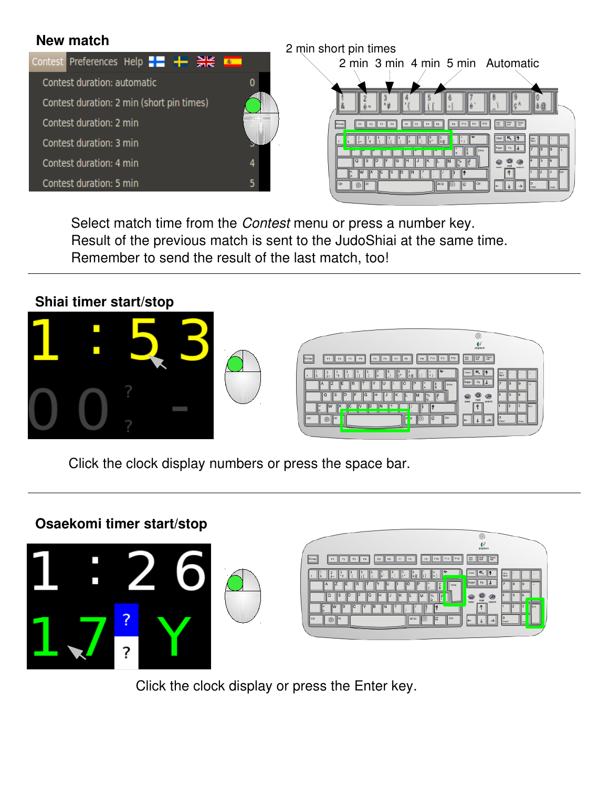

Select match time from the *Contest* menu or press a number key. Result of the previous match is sent to the JudoShiai at the same time. Remember to send the result of the last match, too!



Click the clock display numbers or press the space bar.

### **Osaekomi timer start/stop**





Click the clock display or press the Enter key.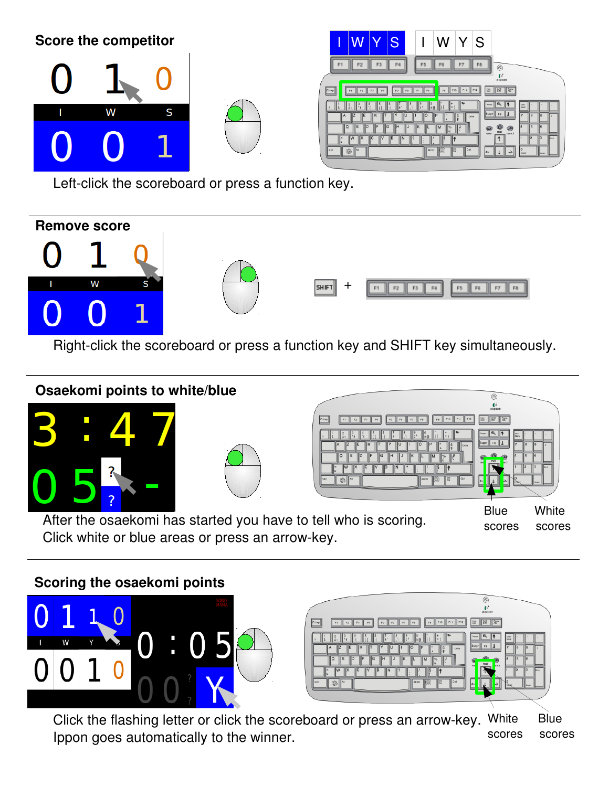| <b>Score the competitor</b> |   |   | W Y <br> S <br>$\vee$<br><sub>S</sub><br>W                                                                                                                             |
|-----------------------------|---|---|------------------------------------------------------------------------------------------------------------------------------------------------------------------------|
|                             |   |   | FB<br>F4<br>FT<br>F5<br>Fö<br>$\circledcirc$<br>plopitud<br><b>Sur Diff Care</b><br>F11<br>Fto<br>F12<br>F5 F6<br>$\mathbb{F}$<br>$\mathbb{H}$ F8<br>Echap<br>F3<br>FB |
|                             | W | S | 气悸<br>Nam<br>Suppr Fin  <br>Extrée                                                                                                                                     |
|                             |   |   | mail<br>www<br>$\ $ At Gr $\ $ (6)<br>⊪≡<br>$\circledS$<br>Ctrl<br>II Ctrl<br><b>II</b> At                                                                             |

Left-click the scoreboard or press a function key.



Right-click the scoreboard or press a function key and SHIFT key simultaneously.



# **Scoring the osaekomi points**





Click the flashing letter or click the scoreboard or press an arrow-key. White Blue Ippon goes automatically to the winner. scores scores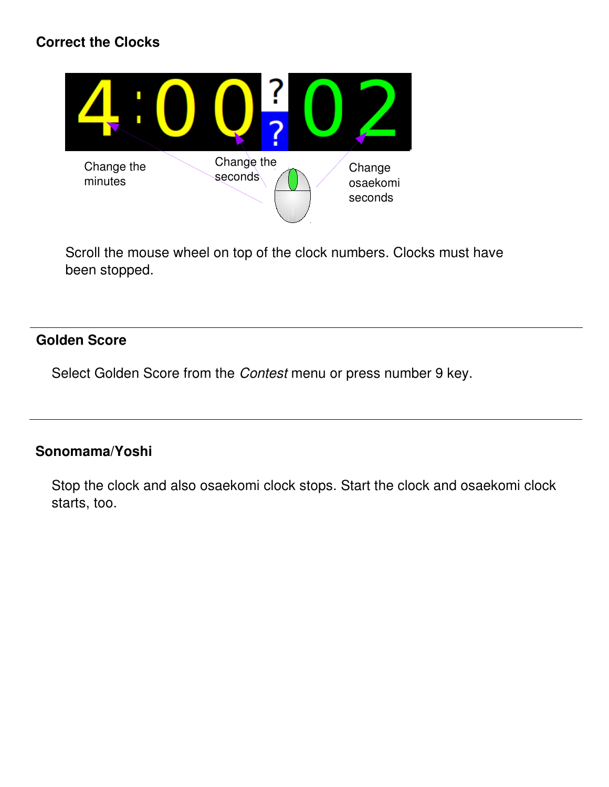# **Correct the Clocks**



Scroll the mouse wheel on top of the clock numbers. Clocks must have been stopped.

# **Golden Score**

Select Golden Score from the *Contest* menu or press number 9 key.

## **Sonomama/Yoshi**

Stop the clock and also osaekomi clock stops. Start the clock and osaekomi clock starts, too.